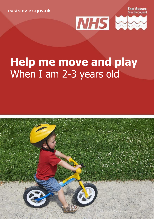**[eastsussex.gov.uk](http://eastsussex.gov.uk/)**

**Fast Sussex County Council** 



# **Help me move and play** When I am 2-3 years old

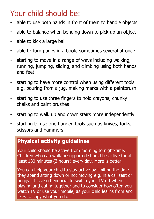## Your child should be:

- able to use both hands in front of them to handle objects
- able to balance when bending down to pick up an object
- able to kick a large ball
- able to turn pages in a book, sometimes several at once
- starting to move in a range of ways including walking, running, jumping, sliding, and climbing using both hands and feet
- starting to have more control when using different tools e.g. pouring from a jug, making marks with a paintbrush
- starting to use three fingers to hold crayons, chunky chalks and paint brushes
- starting to walk up and down stairs more independently
- starting to use one handed tools such as knives, forks, scissors and hammers

### **Physical activity guidelines**

Your child should be active from morning to night-time. Children who can walk unsupported should be active for at least 180 minutes (3 hours) every day. More is better.

You can help your child to stay active by limiting the time they spend sitting down or not moving e.g. in a car seat or buggy. It is also beneficial to switch your TV off when playing and eating together and to consider how often you watch TV or use your mobile, as your child learns from and likes to copy what you do.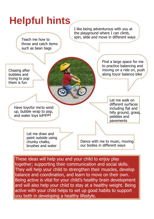

These ideas will help you and your child to enjoy play together; supporting their communication and social skills. They will help your child to strengthen their muscles, develop balance and coordination, and learn to move on their own. Being active is vital for your child's healthy brain development and will also help your child to stay at a healthy weight. Being active with your child helps to set up good habits to support you both in developing a healthy lifestyle.